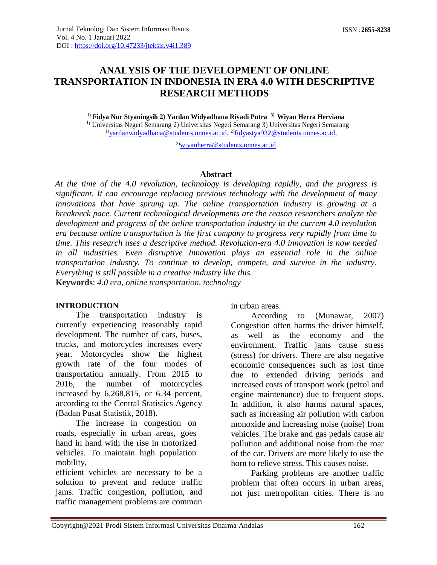# **ANALYSIS OF THE DEVELOPMENT OF ONLINE TRANSPORTATION IN INDONESIA IN ERA 4.0 WITH DESCRIPTIVE RESEARCH METHODS**

**1) Fidya Nur Styaningsih 2) Yardan Widyadhana Riyadi Putra 3) Wiyan Herra Herviana** 1) Universitas Negeri Semarang 2) Universitas Negeri Semarang 3) Universitas Negeri Semarang <sup>1</sup>)[yardanwidyadhana@students.unnes.ac.id,](mailto:yardanwidyadhana@students.unnes.ac.id) <sup>2)</sup>[fidyastya932@students.unnes.ac.id,](mailto:fidyastya932@students.unnes.ac.id)

3)[wiyanherra@students.unnes.ac.id](mailto:wiyanherra@students.unnes.ac.id)

#### **Abstract**

*At the time of the 4.0 revolution, technology is developing rapidly, and the progress is significant. It can encourage replacing previous technology with the development of many innovations that have sprung up. The online transportation industry is growing at a breakneck pace. Current technological developments are the reason researchers analyze the development and progress of the online transportation industry in the current 4.0 revolution era because online transportation is the first company to progress very rapidly from time to time. This research uses a descriptive method. Revolution-era 4.0 innovation is now needed*  in all industries. Even disruptive Innovation plays an essential role in the online *transportation industry. To continue to develop, compete, and survive in the industry. Everything is still possible in a creative industry like this.* **Keywords**: *4.0 era, online transportation, technology*

#### **INTRODUCTION**

The transportation industry is currently experiencing reasonably rapid development. The number of cars, buses, trucks, and motorcycles increases every year. Motorcycles show the highest growth rate of the four modes of transportation annually. From 2015 to 2016, the number of motorcycles increased by 6,268,815, or 6.34 percent, according to the Central Statistics Agency (Badan Pusat Statistik, 2018).

The increase in congestion on roads, especially in urban areas, goes hand in hand with the rise in motorized vehicles. To maintain high population mobility,

efficient vehicles are necessary to be a solution to prevent and reduce traffic jams. Traffic congestion, pollution, and traffic management problems are common in urban areas.

According to (Munawar, 2007) Congestion often harms the driver himself, as well as the economy and the environment. Traffic jams cause stress (stress) for drivers. There are also negative economic consequences such as lost time due to extended driving periods and increased costs of transport work (petrol and engine maintenance) due to frequent stops. In addition, it also harms natural spaces, such as increasing air pollution with carbon monoxide and increasing noise (noise) from vehicles. The brake and gas pedals cause air pollution and additional noise from the roar of the car. Drivers are more likely to use the horn to relieve stress. This causes noise.

Parking problems are another traffic problem that often occurs in urban areas, not just metropolitan cities. There is no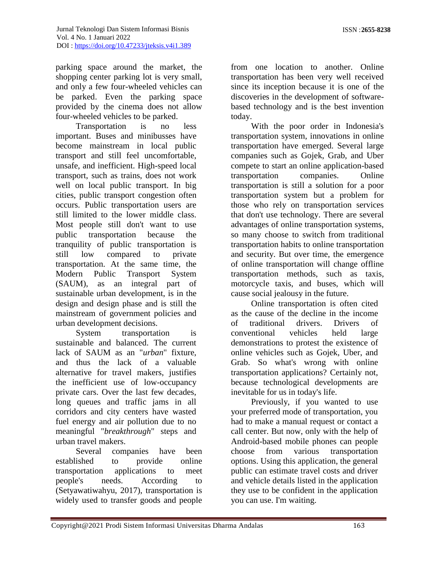parking space around the market, the shopping center parking lot is very small, and only a few four-wheeled vehicles can be parked. Even the parking space provided by the cinema does not allow four-wheeled vehicles to be parked.

Transportation is no less important. Buses and minibusses have become mainstream in local public transport and still feel uncomfortable, unsafe, and inefficient. High-speed local transport, such as trains, does not work well on local public transport. In big cities, public transport congestion often occurs. Public transportation users are still limited to the lower middle class. Most people still don't want to use public transportation because the tranquility of public transportation is still low compared to private transportation. At the same time, the Modern Public Transport System (SAUM), as an integral part of sustainable urban development, is in the design and design phase and is still the mainstream of government policies and urban development decisions.

System transportation is sustainable and balanced. The current lack of SAUM as an "*urban*" fixture, and thus the lack of a valuable alternative for travel makers, justifies the inefficient use of low-occupancy private cars. Over the last few decades, long queues and traffic jams in all corridors and city centers have wasted fuel energy and air pollution due to no meaningful "*breakthrough*" steps and urban travel makers.

Several companies have been established to provide online transportation applications to meet people's needs. According to (Setyawatiwahyu, 2017), transportation is widely used to transfer goods and people

from one location to another. Online transportation has been very well received since its inception because it is one of the discoveries in the development of softwarebased technology and is the best invention today.

With the poor order in Indonesia's transportation system, innovations in online transportation have emerged. Several large companies such as Gojek, Grab, and Uber compete to start an online application-based transportation companies. Online transportation is still a solution for a poor transportation system but a problem for those who rely on transportation services that don't use technology. There are several advantages of online transportation systems, so many choose to switch from traditional transportation habits to online transportation and security. But over time, the emergence of online transportation will change offline transportation methods, such as taxis, motorcycle taxis, and buses, which will cause social jealousy in the future.

Online transportation is often cited as the cause of the decline in the income of traditional drivers. Drivers of conventional vehicles held large demonstrations to protest the existence of online vehicles such as Gojek, Uber, and Grab. So what's wrong with online transportation applications? Certainly not, because technological developments are inevitable for us in today's life.

Previously, if you wanted to use your preferred mode of transportation, you had to make a manual request or contact a call center. But now, only with the help of Android-based mobile phones can people choose from various transportation options. Using this application, the general public can estimate travel costs and driver and vehicle details listed in the application they use to be confident in the application you can use. I'm waiting.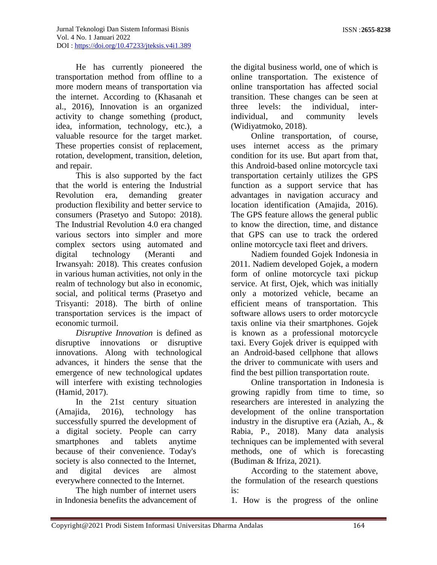He has currently pioneered the transportation method from offline to a more modern means of transportation via the internet. According to (Khasanah et al., 2016), Innovation is an organized activity to change something (product, idea, information, technology, etc.), a valuable resource for the target market. These properties consist of replacement, rotation, development, transition, deletion, and repair.

This is also supported by the fact that the world is entering the Industrial Revolution era, demanding greater production flexibility and better service to consumers (Prasetyo and Sutopo: 2018). The Industrial Revolution 4.0 era changed various sectors into simpler and more complex sectors using automated and digital technology (Meranti and Irwansyah: 2018). This creates confusion in various human activities, not only in the realm of technology but also in economic, social, and political terms (Prasetyo and Trisyanti: 2018). The birth of online transportation services is the impact of economic turmoil.

*Disruptive Innovation* is defined as disruptive innovations or disruptive innovations. Along with technological advances, it hinders the sense that the emergence of new technological updates will interfere with existing technologies (Hamid, 2017).

In the 21st century situation (Amajida, 2016), technology has successfully spurred the development of a digital society. People can carry smartphones and tablets anytime because of their convenience. Today's society is also connected to the Internet, and digital devices are almost everywhere connected to the Internet.

The high number of internet users in Indonesia benefits the advancement of

the digital business world, one of which is online transportation. The existence of online transportation has affected social transition. These changes can be seen at three levels: the individual, interindividual, and community levels (Widiyatmoko, 2018).

Online transportation, of course, uses internet access as the primary condition for its use. But apart from that, this Android-based online motorcycle taxi transportation certainly utilizes the GPS function as a support service that has advantages in navigation accuracy and location identification (Amajida, 2016). The GPS feature allows the general public to know the direction, time, and distance that GPS can use to track the ordered online motorcycle taxi fleet and drivers.

Nadiem founded Gojek Indonesia in 2011. Nadiem developed Gojek, a modern form of online motorcycle taxi pickup service. At first, Ojek, which was initially only a motorized vehicle, became an efficient means of transportation. This software allows users to order motorcycle taxis online via their smartphones. Gojek is known as a professional motorcycle taxi. Every Gojek driver is equipped with an Android-based cellphone that allows the driver to communicate with users and find the best pillion transportation route.

Online transportation in Indonesia is growing rapidly from time to time, so researchers are interested in analyzing the development of the online transportation industry in the disruptive era (Aziah, A., & Rabia, P., 2018). Many data analysis techniques can be implemented with several methods, one of which is forecasting (Budiman & Ifriza, 2021).

According to the statement above, the formulation of the research questions is:

1. How is the progress of the online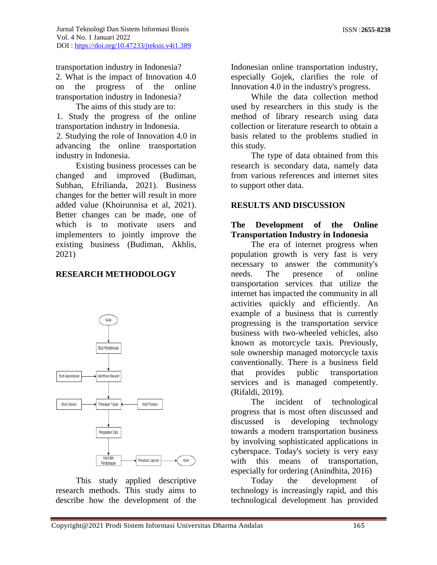transportation industry in Indonesia?

2. What is the impact of Innovation 4.0 on the progress of the online transportation industry in Indonesia?

The aims of this study are to: 1. Study the progress of the online transportation industry in Indonesia. 2. Studying the role of Innovation 4.0 in

advancing the online transportation industry in Indonesia.

Existing business processes can be changed and improved (Budiman, Subhan, Efrilianda, 2021). Business changes for the better will result in more added value (Khoirunnisa et al, 2021). Better changes can be made, one of which is to motivate users and implementers to jointly improve the existing business (Budiman, Akhlis, 2021)

# **RESEARCH METHODOLOGY**



This study applied descriptive research methods. This study aims to describe how the development of the Indonesian online transportation industry, especially Gojek, clarifies the role of Innovation 4.0 in the industry's progress.

While the data collection method used by researchers in this study is the method of library research using data collection or literature research to obtain a basis related to the problems studied in this study.

The type of data obtained from this research is secondary data, namely data from various references and internet sites to support other data.

#### **RESULTS AND DISCUSSION**

### **The Development of the Online Transportation Industry in Indonesia**

The era of internet progress when population growth is very fast is very necessary to answer the community's needs. The presence of online transportation services that utilize the internet has impacted the community in all activities quickly and efficiently. An example of a business that is currently progressing is the transportation service business with two-wheeled vehicles, also known as motorcycle taxis. Previously, sole ownership managed motorcycle taxis conventionally. There is a business field that provides public transportation services and is managed competently. (Rifaldi, 2019).

The incident of technological progress that is most often discussed and discussed is developing technology towards a modern transportation business by involving sophisticated applications in cyberspace. Today's society is very easy with this means of transportation, especially for ordering (Anindhita, 2016)

Today the development of technology is increasingly rapid, and this technological development has provided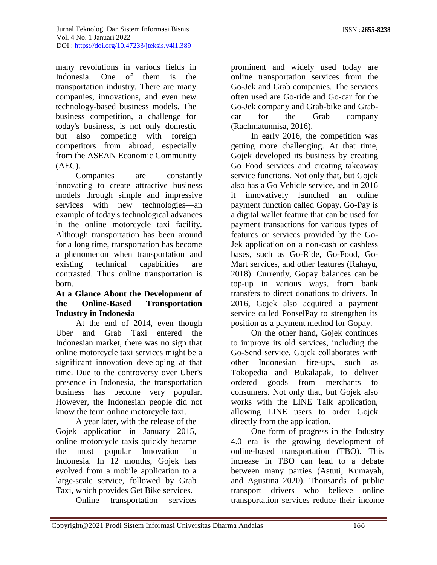many revolutions in various fields in Indonesia. One of them is the transportation industry. There are many companies, innovations, and even new technology-based business models. The business competition, a challenge for today's business, is not only domestic but also competing with foreign competitors from abroad, especially from the ASEAN Economic Community (AEC).

Companies are constantly innovating to create attractive business models through simple and impressive services with new technologies—an example of today's technological advances in the online motorcycle taxi facility. Although transportation has been around for a long time, transportation has become a phenomenon when transportation and existing technical capabilities are contrasted. Thus online transportation is born.

### **At a Glance About the Development of the Online-Based Transportation Industry in Indonesia**

At the end of 2014, even though Uber and Grab Taxi entered the Indonesian market, there was no sign that online motorcycle taxi services might be a significant innovation developing at that time. Due to the controversy over Uber's presence in Indonesia, the transportation business has become very popular. However, the Indonesian people did not know the term online motorcycle taxi.

A year later, with the release of the Gojek application in January 2015, online motorcycle taxis quickly became the most popular Innovation in Indonesia. In 12 months, Gojek has evolved from a mobile application to a large-scale service, followed by Grab Taxi, which provides Get Bike services.

Online transportation services

prominent and widely used today are online transportation services from the Go-Jek and Grab companies. The services often used are Go-ride and Go-car for the Go-Jek company and Grab-bike and Grabcar for the Grab company (Rachmatunnisa, 2016).

In early 2016, the competition was getting more challenging. At that time, Gojek developed its business by creating Go Food services and creating takeaway service functions. Not only that, but Gojek also has a Go Vehicle service, and in 2016 it innovatively launched an online payment function called Gopay. Go-Pay is a digital wallet feature that can be used for payment transactions for various types of features or services provided by the Go-Jek application on a non-cash or cashless bases, such as Go-Ride, Go-Food, Go-Mart services, and other features (Rahayu, 2018). Currently, Gopay balances can be top-up in various ways, from bank transfers to direct donations to drivers. In 2016, Gojek also acquired a payment service called PonselPay to strengthen its position as a payment method for Gopay.

On the other hand, Gojek continues to improve its old services, including the Go-Send service. Gojek collaborates with other Indonesian fire-ups, such as Tokopedia and Bukalapak, to deliver ordered goods from merchants to consumers. Not only that, but Gojek also works with the LINE Talk application, allowing LINE users to order Gojek directly from the application.

One form of progress in the Industry 4.0 era is the growing development of online-based transportation (TBO). This increase in TBO can lead to a debate between many parties (Astuti, Kumayah, and Agustina 2020). Thousands of public transport drivers who believe online transportation services reduce their income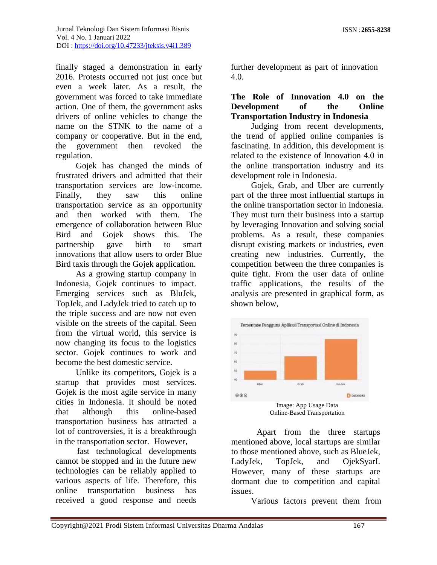finally staged a demonstration in early 2016. Protests occurred not just once but even a week later. As a result, the government was forced to take immediate action. One of them, the government asks drivers of online vehicles to change the name on the STNK to the name of a company or cooperative. But in the end, the government then revoked the regulation.

Gojek has changed the minds of frustrated drivers and admitted that their transportation services are low-income. Finally, they saw this online transportation service as an opportunity and then worked with them. The emergence of collaboration between Blue Bird and Gojek shows this. The partnership gave birth to smart innovations that allow users to order Blue Bird taxis through the Gojek application.

As a growing startup company in Indonesia, Gojek continues to impact. Emerging services such as BluJek, TopJek, and LadyJek tried to catch up to the triple success and are now not even visible on the streets of the capital. Seen from the virtual world, this service is now changing its focus to the logistics sector. Gojek continues to work and become the best domestic service.

Unlike its competitors, Gojek is a startup that provides most services. Gojek is the most agile service in many cities in Indonesia. It should be noted that although this online-based transportation business has attracted a lot of controversies, it is a breakthrough in the transportation sector. However,

fast technological developments cannot be stopped and in the future new technologies can be reliably applied to various aspects of life. Therefore, this online transportation business has received a good response and needs

further development as part of innovation 4.0.

#### **The Role of Innovation 4.0 on the Development of the Online Transportation Industry in Indonesia**

Judging from recent developments, the trend of applied online companies is fascinating. In addition, this development is related to the existence of Innovation 4.0 in the online transportation industry and its development role in Indonesia.

Gojek, Grab, and Uber are currently part of the three most influential startups in the online transportation sector in Indonesia. They must turn their business into a startup by leveraging Innovation and solving social problems. As a result, these companies disrupt existing markets or industries, even creating new industries. Currently, the competition between the three companies is quite tight. From the user data of online traffic applications, the results of the analysis are presented in graphical form, as shown below,



Apart from the three startups mentioned above, local startups are similar to those mentioned above, such as BlueJek, LadyJek, TopJek, and OjekSyarI. However, many of these startups are dormant due to competition and capital issues.

Various factors prevent them from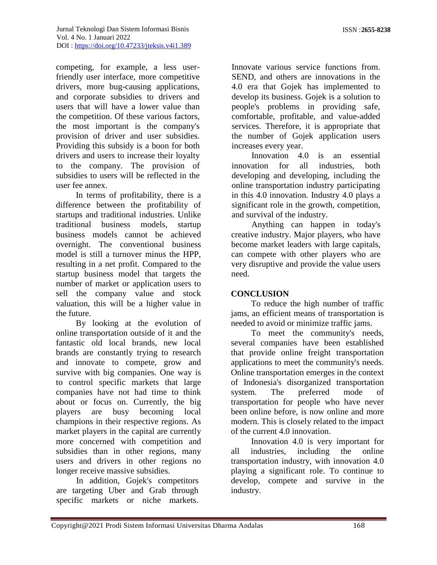competing, for example, a less userfriendly user interface, more competitive drivers, more bug-causing applications, and corporate subsidies to drivers and users that will have a lower value than the competition. Of these various factors, the most important is the company's provision of driver and user subsidies. Providing this subsidy is a boon for both drivers and users to increase their loyalty to the company. The provision of subsidies to users will be reflected in the user fee annex.

In terms of profitability, there is a difference between the profitability of startups and traditional industries. Unlike traditional business models, startup business models cannot be achieved overnight. The conventional business model is still a turnover minus the HPP, resulting in a net profit. Compared to the startup business model that targets the number of market or application users to sell the company value and stock valuation, this will be a higher value in the future.

By looking at the evolution of online transportation outside of it and the fantastic old local brands, new local brands are constantly trying to research and innovate to compete, grow and survive with big companies. One way is to control specific markets that large companies have not had time to think about or focus on. Currently, the big players are busy becoming local champions in their respective regions. As market players in the capital are currently more concerned with competition and subsidies than in other regions, many users and drivers in other regions no longer receive massive subsidies.

In addition, Gojek's competitors are targeting Uber and Grab through specific markets or niche markets.

Innovate various service functions from. SEND, and others are innovations in the 4.0 era that Gojek has implemented to develop its business. Gojek is a solution to people's problems in providing safe, comfortable, profitable, and value-added services. Therefore, it is appropriate that the number of Gojek application users increases every year.

Innovation 4.0 is an essential innovation for all industries, both developing and developing, including the online transportation industry participating in this 4.0 innovation. Industry 4.0 plays a significant role in the growth, competition, and survival of the industry.

Anything can happen in today's creative industry. Major players, who have become market leaders with large capitals, can compete with other players who are very disruptive and provide the value users need.

# **CONCLUSION**

To reduce the high number of traffic jams, an efficient means of transportation is needed to avoid or minimize traffic jams.

To meet the community's needs, several companies have been established that provide online freight transportation applications to meet the community's needs. Online transportation emerges in the context of Indonesia's disorganized transportation system. The preferred mode of transportation for people who have never been online before, is now online and more modern. This is closely related to the impact of the current 4.0 innovation.

Innovation 4.0 is very important for all industries, including the online transportation industry, with innovation 4.0 playing a significant role. To continue to develop, compete and survive in the industry.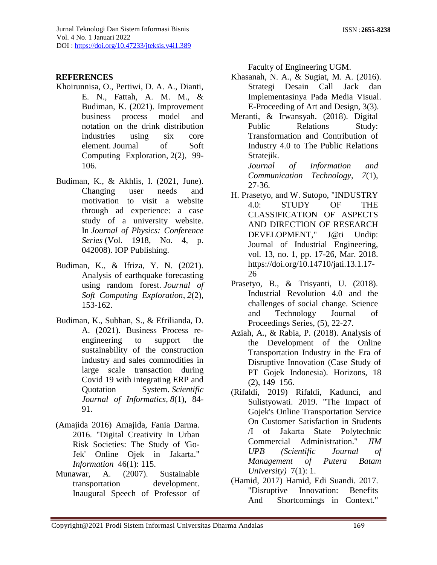# **REFERENCES**

- Khoirunnisa, O., Pertiwi, D. A. A., Dianti, E. N., Fattah, A. M. M., & Budiman, K. (2021). Improvement business process model and notation on the drink distribution industries using six core element. Journal of Soft Computing Exploration, 2(2), 99- 106.
- Budiman, K., & Akhlis, I. (2021, June). Changing user needs and motivation to visit a website through ad experience: a case study of a university website. In *Journal of Physics: Conference Series* (Vol. 1918, No. 4, p. 042008). IOP Publishing.
- Budiman, K., & Ifriza, Y. N. (2021). Analysis of earthquake forecasting using random forest. *Journal of Soft Computing Exploration*, *2*(2), 153-162.
- Budiman, K., Subhan, S., & Efrilianda, D. A. (2021). Business Process reengineering to support the sustainability of the construction industry and sales commodities in large scale transaction during Covid 19 with integrating ERP and Quotation System. *Scientific Journal of Informatics*, *8*(1), 84- 91.
- (Amajida 2016) Amajida, Fania Darma. 2016. "Digital Creativity In Urban Risk Societies: The Study of 'Go-Jek' Online Ojek in Jakarta." *Information* 46(1): 115.
- Munawar, A. (2007). Sustainable transportation development. Inaugural Speech of Professor of

Faculty of Engineering UGM.

- Khasanah, N. A., & Sugiat, M. A. (2016). Strategi Desain Call Jack dan Implementasinya Pada Media Visual. E-Proceeding of Art and Design, 3(3).
- Meranti, & Irwansyah. (2018). Digital Public Relations Study: Transformation and Contribution of Industry 4.0 to The Public Relations Stratejik.

*Journal of Information and Communication Technology, 7*(1), 27-36.

- H. Prasetyo, and W. Sutopo, "INDUSTRY 4.0: STUDY OF THE CLASSIFICATION OF ASPECTS AND DIRECTION OF RESEARCH DEVELOPMENT," J@ti Undip: Journal of Industrial Engineering, vol. 13, no. 1, pp. 17-26, Mar. 2018. https://doi.org/10.14710/jati.13.1.17- 26
- Prasetyo, B., & Trisyanti, U. (2018). Industrial Revolution 4.0 and the challenges of social change. Science and Technology Journal of Proceedings Series, (5), 22-27.
- Aziah, A., & Rabia, P. (2018). Analysis of the Development of the Online Transportation Industry in the Era of Disruptive Innovation (Case Study of PT Gojek Indonesia). Horizons, 18 (2), 149–156.
- (Rifaldi, 2019) Rifaldi, Kadunci, and Sulistyowati. 2019. "The Impact of Gojek's Online Transportation Service On Customer Satisfaction in Students /I of Jakarta State Polytechnic Commercial Administration." *JIM UPB (Scientific Journal of Management of Putera Batam University)* 7(1): 1.
- (Hamid, 2017) Hamid, Edi Suandi. 2017. "Disruptive Innovation: Benefits And Shortcomings in Context."